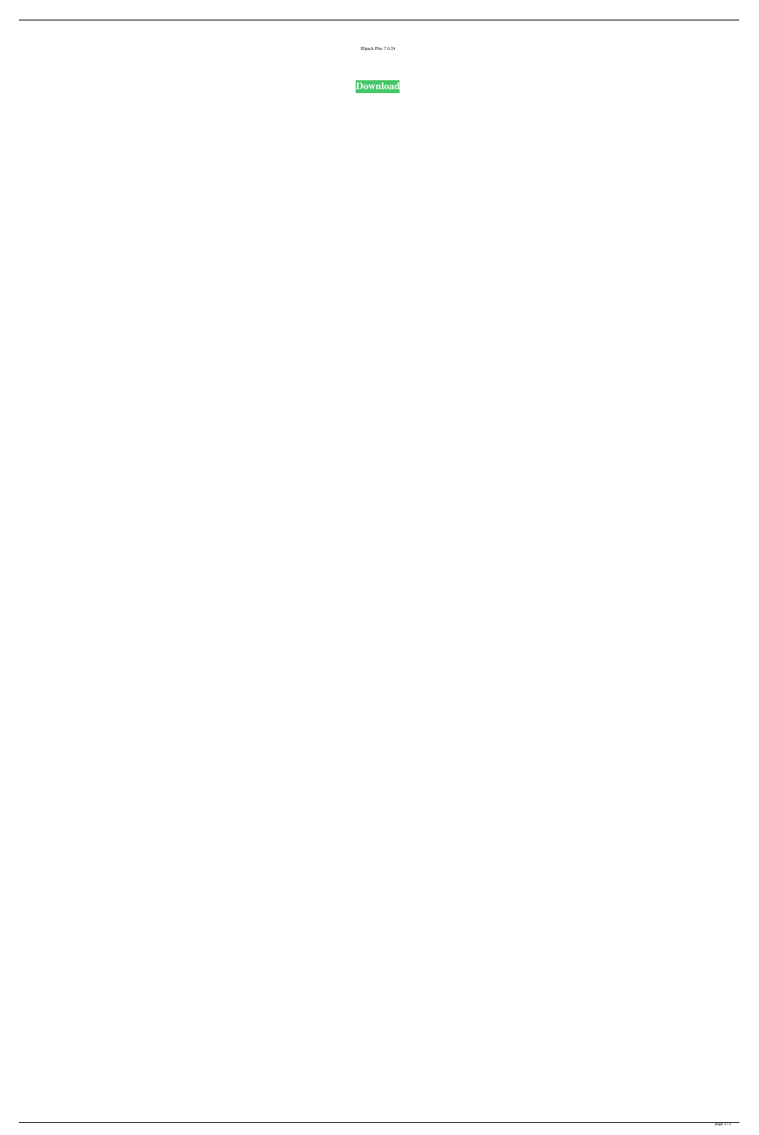